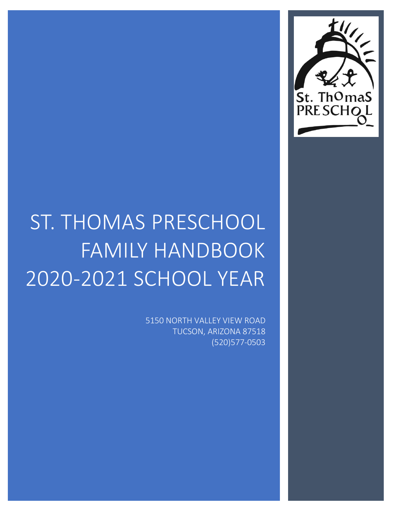

# ST. THOMAS PRESCHOOL FAMILY HANDBOOK 2020-2021 SCHOOL YEAR

5150 NORTH VALLEY VIEW ROAD TUCSON, ARIZONA 87518 (520)577-0503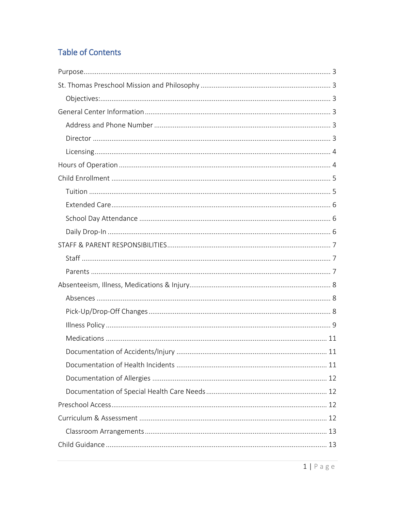## **Table of Contents**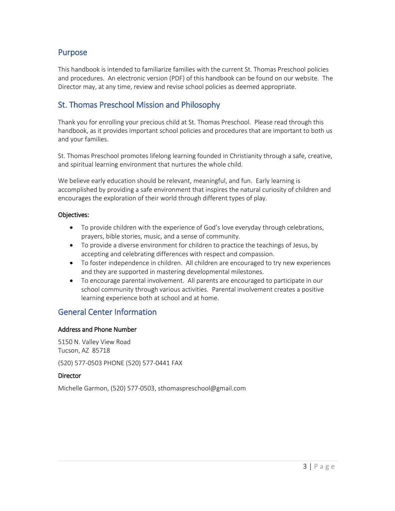## <span id="page-3-0"></span>Purpose

This handbook is intended to familiarize families with the current St. Thomas Preschool policies and procedures. An electronic version (PDF) of this handbook can be found on our website. The Director may, at any time, review and revise school policies as deemed appropriate.

## <span id="page-3-1"></span>St. Thomas Preschool Mission and Philosophy

Thank you for enrolling your precious child at St. Thomas Preschool. Please read through this handbook, as it provides important school policies and procedures that are important to both us and your families.

St. Thomas Preschool promotes lifelong learning founded in Christianity through a safe, creative, and spiritual learning environment that nurtures the whole child.

We believe early education should be relevant, meaningful, and fun. Early learning is accomplished by providing a safe environment that inspires the natural curiosity of children and encourages the exploration of their world through different types of play.

#### <span id="page-3-2"></span>Objectives:

- To provide children with the experience of God's love everyday through celebrations, prayers, bible stories, music, and a sense of community.
- To provide a diverse environment for children to practice the teachings of Jesus, by accepting and celebrating differences with respect and compassion.
- To foster independence in children. All children are encouraged to try new experiences and they are supported in mastering developmental milestones.
- To encourage parental involvement. All parents are encouraged to participate in our school community through various activities. Parental involvement creates a positive learning experience both at school and at home.

## <span id="page-3-3"></span>General Center Information

#### <span id="page-3-4"></span>Address and Phone Number

5150 N. Valley View Road Tucson, AZ 85718

(520) 577-0503 PHONE (520) 577-0441 FAX

#### <span id="page-3-5"></span>Director

Michelle Garmon, (520) 577-0503, sthomaspreschool@gmail.com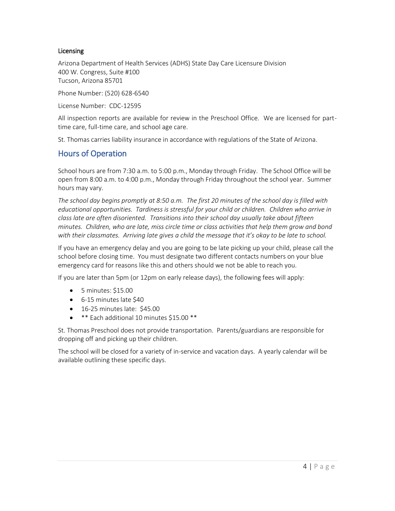#### <span id="page-4-0"></span>**Licensing**

Arizona Department of Health Services (ADHS) State Day Care Licensure Division 400 W. Congress, Suite #100 Tucson, Arizona 85701

Phone Number: (520) 628-6540

License Number: CDC-12595

All inspection reports are available for review in the Preschool Office. We are licensed for parttime care, full-time care, and school age care.

St. Thomas carries liability insurance in accordance with regulations of the State of Arizona.

#### <span id="page-4-1"></span>Hours of Operation

School hours are from 7:30 a.m. to 5:00 p.m., Monday through Friday. The School Office will be open from 8:00 a.m. to 4:00 p.m., Monday through Friday throughout the school year. Summer hours may vary.

*The school day begins promptly at 8:50 a.m. The first 20 minutes of the school day is filled with educational opportunities. Tardiness is stressful for your child or children. Children who arrive in class late are often disoriented. Transitions into their school day usually take about fifteen minutes. Children, who are late, miss circle time or class activities that help them grow and bond with their classmates. Arriving late gives a child the message that it's okay to be late to school.*

If you have an emergency delay and you are going to be late picking up your child, please call the school before closing time. You must designate two different contacts numbers on your blue emergency card for reasons like this and others should we not be able to reach you.

If you are later than 5pm (or 12pm on early release days), the following fees will apply:

- $\bullet$  5 minutes: \$15.00
- 6-15 minutes late \$40
- 16-25 minutes late: \$45.00
- \*\* Each additional 10 minutes \$15.00 \*\*

St. Thomas Preschool does not provide transportation. Parents/guardians are responsible for dropping off and picking up their children.

The school will be closed for a variety of in-service and vacation days. A yearly calendar will be available outlining these specific days.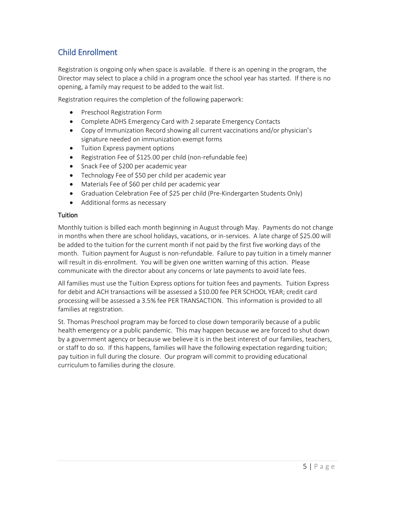## <span id="page-5-0"></span>Child Enrollment

Registration is ongoing only when space is available. If there is an opening in the program, the Director may select to place a child in a program once the school year has started. If there is no opening, a family may request to be added to the wait list.

Registration requires the completion of the following paperwork:

- **•** Preschool Registration Form
- Complete ADHS Emergency Card with 2 separate Emergency Contacts
- Copy of Immunization Record showing all current vaccinations and/or physician's signature needed on immunization exempt forms
- Tuition Express payment options
- Registration Fee of \$125.00 per child (non-refundable fee)
- Snack Fee of \$200 per academic year
- Technology Fee of \$50 per child per academic year
- Materials Fee of \$60 per child per academic year
- Graduation Celebration Fee of \$25 per child (Pre-Kindergarten Students Only)
- Additional forms as necessary

#### <span id="page-5-1"></span>**Tuition**

Monthly tuition is billed each month beginning in August through May. Payments do not change in months when there are school holidays, vacations, or in-services. A late charge of \$25.00 will be added to the tuition for the current month if not paid by the first five working days of the month. Tuition payment for August is non-refundable. Failure to pay tuition in a timely manner will result in dis-enrollment. You will be given one written warning of this action. Please communicate with the director about any concerns or late payments to avoid late fees.

All families must use the Tuition Express options for tuition fees and payments. Tuition Express for debit and ACH transactions will be assessed a \$10.00 fee PER SCHOOL YEAR; credit card processing will be assessed a 3.5% fee PER TRANSACTION. This information is provided to all families at registration.

St. Thomas Preschool program may be forced to close down temporarily because of a public health emergency or a public pandemic. This may happen because we are forced to shut down by a government agency or because we believe it is in the best interest of our families, teachers, or staff to do so. If this happens, families will have the following expectation regarding tuition; pay tuition in full during the closure. Our program will commit to providing educational curriculum to families during the closure.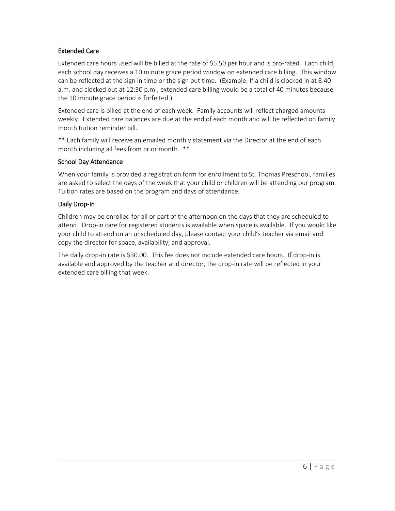#### <span id="page-6-0"></span>Extended Care

Extended care hours used will be billed at the rate of \$5.50 per hour and is pro-rated. Each child, each school day receives a 10 minute grace period window on extended care billing. This window can be reflected at the sign in time or the sign out time. (Example: If a child is clocked in at 8:40 a.m. and clocked out at 12:30 p.m., extended care billing would be a total of 40 minutes because the 10 minute grace period is forfeited.)

Extended care is billed at the end of each week. Family accounts will reflect charged amounts weekly. Extended care balances are due at the end of each month and will be reflected on family month tuition reminder bill.

\*\* Each family will receive an emailed monthly statement via the Director at the end of each month including all fees from prior month. \*\*

#### <span id="page-6-1"></span>School Day Attendance

When your family is provided a registration form for enrollment to St. Thomas Preschool, families are asked to select the days of the week that your child or children will be attending our program. Tuition rates are based on the program and days of attendance.

#### <span id="page-6-2"></span>Daily Drop-In

Children may be enrolled for all or part of the afternoon on the days that they are scheduled to attend. Drop-in care for registered students is available when space is available. If you would like your child to attend on an unscheduled day, please contact your child's teacher via email and copy the director for space, availability, and approval.

The daily drop-in rate is \$30.00. This fee does not include extended care hours. If drop-in is available and approved by the teacher and director, the drop-in rate will be reflected in your extended care billing that week.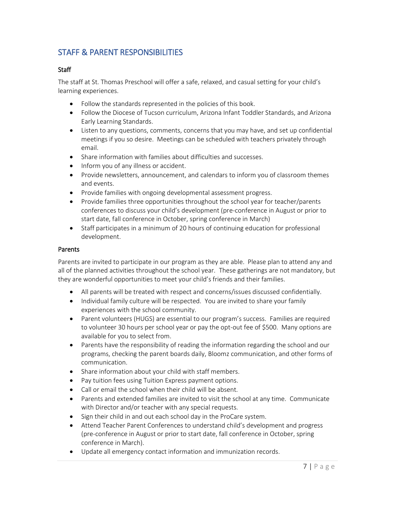## <span id="page-7-0"></span>STAFF & PARENT RESPONSIBILITIES

#### <span id="page-7-1"></span>**Staff**

The staff at St. Thomas Preschool will offer a safe, relaxed, and casual setting for your child's learning experiences.

- Follow the standards represented in the policies of this book.
- Follow the Diocese of Tucson curriculum, Arizona Infant Toddler Standards, and Arizona Early Learning Standards.
- Listen to any questions, comments, concerns that you may have, and set up confidential meetings if you so desire. Meetings can be scheduled with teachers privately through email.
- Share information with families about difficulties and successes.
- Inform you of any illness or accident.
- Provide newsletters, announcement, and calendars to inform you of classroom themes and events.
- Provide families with ongoing developmental assessment progress.
- Provide families three opportunities throughout the school year for teacher/parents conferences to discuss your child's development (pre-conference in August or prior to start date, fall conference in October, spring conference in March)
- Staff participates in a minimum of 20 hours of continuing education for professional development.

#### <span id="page-7-2"></span>Parents

Parents are invited to participate in our program as they are able. Please plan to attend any and all of the planned activities throughout the school year. These gatherings are not mandatory, but they are wonderful opportunities to meet your child's friends and their families.

- All parents will be treated with respect and concerns/issues discussed confidentially.
- Individual family culture will be respected. You are invited to share your family experiences with the school community.
- Parent volunteers (HUGS) are essential to our program's success. Families are required to volunteer 30 hours per school year or pay the opt-out fee of \$500. Many options are available for you to select from.
- Parents have the responsibility of reading the information regarding the school and our programs, checking the parent boards daily, Bloomz communication, and other forms of communication.
- Share information about your child with staff members.
- Pay tuition fees using Tuition Express payment options.
- Call or email the school when their child will be absent.
- Parents and extended families are invited to visit the school at any time. Communicate with Director and/or teacher with any special requests.
- Sign their child in and out each school day in the ProCare system.
- Attend Teacher Parent Conferences to understand child's development and progress (pre-conference in August or prior to start date, fall conference in October, spring conference in March).
- Update all emergency contact information and immunization records.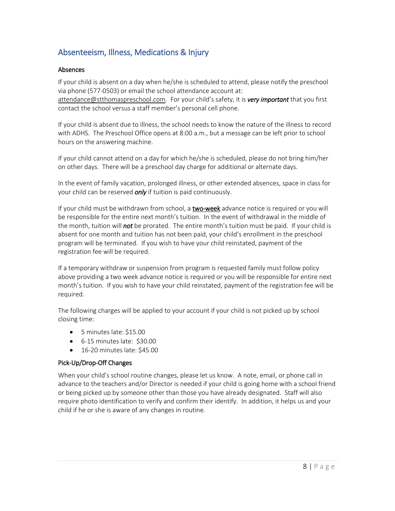## <span id="page-8-0"></span>Absenteeism, Illness, Medications & Injury

#### <span id="page-8-1"></span>Absences

If your child is absent on a day when he/she is scheduled to attend, please notify the preschool via phone (577-0503) or email the school attendance account at: [attendance@stthomaspreschool.com.](mailto:attendance@stthomaspreschool.com) For your child's safety, it is *very important* that you first contact the school versus a staff member's personal cell phone.

If your child is absent due to illness, the school needs to know the nature of the illness to record with ADHS. The Preschool Office opens at 8:00 a.m., but a message can be left prior to school hours on the answering machine.

If your child cannot attend on a day for which he/she is scheduled, please do not bring him/her on other days. There will be a preschool day charge for additional or alternate days.

In the event of family vacation, prolonged illness, or other extended absences, space in class for your child can be reserved *only* if tuition is paid continuously.

If your child must be withdrawn from school, a two-week advance notice is required or you will be responsible for the entire next month's tuition. In the event of withdrawal in the middle of the month, tuition will *not* be prorated. The entire month's tuition must be paid. If your child is absent for one month and tuition has not been paid, your child's enrollment in the preschool program will be terminated. If you wish to have your child reinstated, payment of the registration fee will be required.

If a temporary withdraw or suspension from program is requested family must follow policy above providing a two week advance notice is required or you will be responsible for entire next month's tuition. If you wish to have your child reinstated, payment of the registration fee will be required.

The following charges will be applied to your account if your child is not picked up by school closing time:

- 5 minutes late: \$15.00
- 6-15 minutes late: \$30.00
- 16-20 minutes late: \$45.00

#### <span id="page-8-2"></span>Pick-Up/Drop-Off Changes

When your child's school routine changes, please let us know. A note, email, or phone call in advance to the teachers and/or Director is needed if your child is going home with a school friend or being picked up by someone other than those you have already designated. Staff will also require photo identification to verify and confirm their identify. In addition, it helps us and your child if he or she is aware of any changes in routine.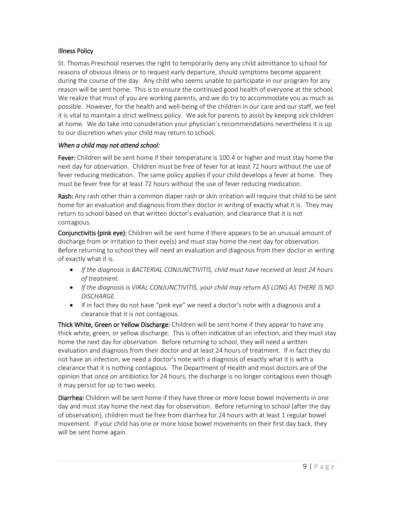#### <span id="page-9-0"></span>Illness Policy

St. Thomas Preschool reserves the right to temporarily deny any child admittance to school for reasons of obvious illness or to request early departure, should symptoms become apparent during the course of the day. Any child who seems unable to participate in our program for any reason will be sent home. This is to ensure the continued good health of everyone at the school. We realize that most of you are working parents, and we do try to accommodate you as much as possible. However, for the health and well-being of the children in our care and our staff, we feel it is vital to maintain a strict wellness policy. We ask for parents to assist by keeping sick children at home. We do take into consideration your physician's recommendations nevertheless it is up to our discretion when your child may return to school.

#### *When a child may not attend school:*

**Fever:** Children will be sent home if their temperature is 100.4 or higher and must stay home the next day for observation. Children must be free of fever for at least 72 hours without the use of fever reducing medication. The same policy applies if your child develops a fever at home. They must be fever free for at least 72 hours without the use of fever reducing medication.

Rash: Any rash other than a common diaper rash or skin irritation will require that child to be sent home for an evaluation and diagnosis from their doctor in writing of exactly what it is. They may return to school based on that written doctor's evaluation, and clearance that it is not contagious.

Conjunctivitis (pink eye): Children will be sent home if there appears to be an unusual amount of discharge from or irritation to their eye(s) and must stay home the next day for observation. Before returning to school they will need an evaluation and diagnosis from their doctor in writing of exactly what it is.

- *If the diagnosis is BACTERIAL CONJUNCTIVITIS, child must have received at least 24 hours of treatment.*
- *If the diagnosis is VIRAL CONJUNCTIVITIS, your child may return AS LONG AS THERE IS NO DISCHARGE.*
- If in fact they do not have "pink eye" we need a doctor's note with a diagnosis and a clearance that it is not contagious.

Thick White, Green or Yellow Discharge: Children will be sent home if they appear to have any thick white, green, or yellow discharge. This is often indicative of an infection, and they must stay home the next day for observation. Before returning to school, they will need a written evaluation and diagnosis from their doctor and at least 24 hours of treatment. If in fact they do not have an infection, we need a doctor's note with a diagnosis of exactly what it is with a clearance that it is nothing contagious. The Department of Health and most doctors are of the opinion that once on antibiotics for 24 hours, the discharge is no longer contagious even though it may persist for up to two weeks.

Diarrhea: Children will be sent home if they have three or more loose bowel movements in one day and must stay home the next day for observation. Before returning to school (after the day of observation), children must be free from diarrhea for 24 hours with at least 1 regular bowel movement. If your child has one or more loose bowel movements on their first day back, they will be sent home again.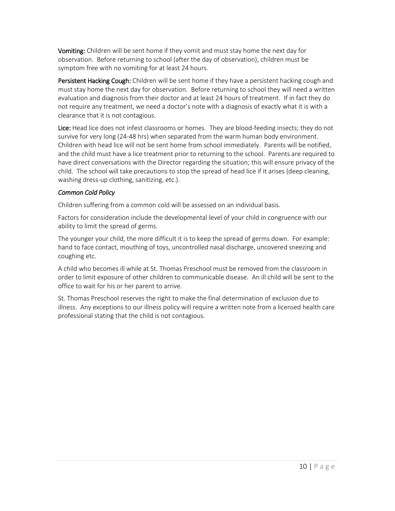**Vomiting:** Children will be sent home if they vomit and must stay home the next day for observation. Before returning to school (after the day of observation), children must be symptom free with no vomiting for at least 24 hours.

Persistent Hacking Cough: Children will be sent home if they have a persistent hacking cough and must stay home the next day for observation. Before returning to school they will need a written evaluation and diagnosis from their doctor and at least 24 hours of treatment. If in fact they do not require any treatment, we need a doctor's note with a diagnosis of exactly what it is with a clearance that it is not contagious.

Lice: Head lice does not infest classrooms or homes. They are blood-feeding insects; they do not survive for very long (24-48 hrs) when separated from the warm human body environment. Children with head lice will not be sent home from school immediately. Parents will be notified, and the child must have a lice treatment prior to returning to the school. Parents are required to have direct conversations with the Director regarding the situation; this will ensure privacy of the child. The school will take precautions to stop the spread of head lice if it arises (deep cleaning, washing dress-up clothing, sanitizing, etc.).

#### *Common Cold Policy*

Children suffering from a common cold will be assessed on an individual basis.

Factors for consideration include the developmental level of your child in congruence with our ability to limit the spread of germs.

The younger your child, the more difficult it is to keep the spread of germs down. For example: hand to face contact, mouthing of toys, uncontrolled nasal discharge, uncovered sneezing and coughing etc.

A child who becomes ill while at St. Thomas Preschool must be removed from the classroom in order to limit exposure of other children to communicable disease. An ill child will be sent to the office to wait for his or her parent to arrive.

St. Thomas Preschool reserves the right to make the final determination of exclusion due to illness. Any exceptions to our illness policy will require a written note from a licensed health care professional stating that the child is not contagious.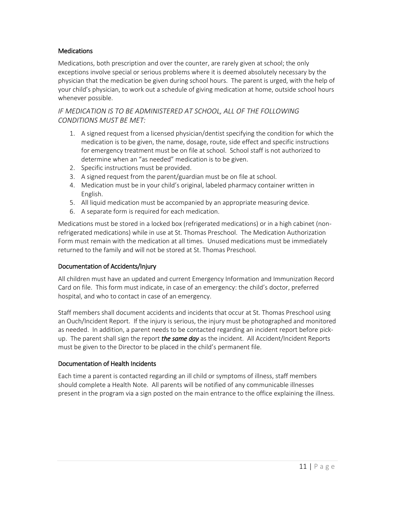#### <span id="page-11-0"></span>**Medications**

Medications, both prescription and over the counter, are rarely given at school; the only exceptions involve special or serious problems where it is deemed absolutely necessary by the physician that the medication be given during school hours. The parent is urged, with the help of your child's physician, to work out a schedule of giving medication at home, outside school hours whenever possible.

#### *IF MEDICATION IS TO BE ADMINISTERED AT SCHOOL, ALL OF THE FOLLOWING CONDITIONS MUST BE MET:*

- 1. A signed request from a licensed physician/dentist specifying the condition for which the medication is to be given, the name, dosage, route, side effect and specific instructions for emergency treatment must be on file at school. School staff is not authorized to determine when an "as needed" medication is to be given.
- 2. Specific instructions must be provided.
- 3. A signed request from the parent/guardian must be on file at school.
- 4. Medication must be in your child's original, labeled pharmacy container written in English.
- 5. All liquid medication must be accompanied by an appropriate measuring device.
- 6. A separate form is required for each medication.

Medications must be stored in a locked box (refrigerated medications) or in a high cabinet (nonrefrigerated medications) while in use at St. Thomas Preschool. The Medication Authorization Form must remain with the medication at all times. Unused medications must be immediately returned to the family and will not be stored at St. Thomas Preschool.

#### <span id="page-11-1"></span>Documentation of Accidents/Injury

All children must have an updated and current Emergency Information and Immunization Record Card on file. This form must indicate, in case of an emergency: the child's doctor, preferred hospital, and who to contact in case of an emergency.

Staff members shall document accidents and incidents that occur at St. Thomas Preschool using an Ouch/Incident Report. If the injury is serious, the injury must be photographed and monitored as needed. In addition, a parent needs to be contacted regarding an incident report before pickup. The parent shall sign the report *the same day* as the incident. All Accident/Incident Reports must be given to the Director to be placed in the child's permanent file.

#### <span id="page-11-2"></span>Documentation of Health Incidents

Each time a parent is contacted regarding an ill child or symptoms of illness, staff members should complete a Health Note. All parents will be notified of any communicable illnesses present in the program via a sign posted on the main entrance to the office explaining the illness.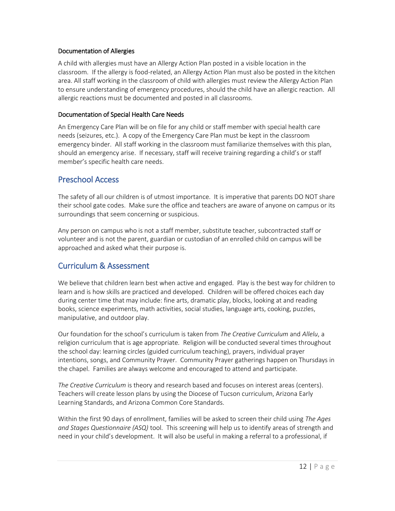#### <span id="page-12-0"></span>Documentation of Allergies

A child with allergies must have an Allergy Action Plan posted in a visible location in the classroom. If the allergy is food-related, an Allergy Action Plan must also be posted in the kitchen area. All staff working in the classroom of child with allergies must review the Allergy Action Plan to ensure understanding of emergency procedures, should the child have an allergic reaction. All allergic reactions must be documented and posted in all classrooms.

#### <span id="page-12-1"></span>Documentation of Special Health Care Needs

An Emergency Care Plan will be on file for any child or staff member with special health care needs (seizures, etc.). A copy of the Emergency Care Plan must be kept in the classroom emergency binder. All staff working in the classroom must familiarize themselves with this plan, should an emergency arise. If necessary, staff will receive training regarding a child's or staff member's specific health care needs.

## <span id="page-12-2"></span>Preschool Access

The safety of all our children is of utmost importance. It is imperative that parents DO NOT share their school gate codes. Make sure the office and teachers are aware of anyone on campus or its surroundings that seem concerning or suspicious.

Any person on campus who is not a staff member, substitute teacher, subcontracted staff or volunteer and is not the parent, guardian or custodian of an enrolled child on campus will be approached and asked what their purpose is.

## <span id="page-12-3"></span>Curriculum & Assessment

We believe that children learn best when active and engaged. Play is the best way for children to learn and is how skills are practiced and developed. Children will be offered choices each day during center time that may include: fine arts, dramatic play, blocks, looking at and reading books, science experiments, math activities, social studies, language arts, cooking, puzzles, manipulative, and outdoor play.

Our foundation for the school's curriculum is taken from *The Creative Curriculum* and *Allelu*, a religion curriculum that is age appropriate*.* Religion will be conducted several times throughout the school day: learning circles (guided curriculum teaching), prayers, individual prayer intentions, songs, and Community Prayer. Community Prayer gatherings happen on Thursdays in the chapel. Families are always welcome and encouraged to attend and participate.

*The Creative Curriculum* is theory and research based and focuses on interest areas (centers). Teachers will create lesson plans by using the Diocese of Tucson curriculum, Arizona Early Learning Standards, and Arizona Common Core Standards.

Within the first 90 days of enrollment, families will be asked to screen their child using *The Ages and Stages Questionnaire (ASQ)* tool. This screening will help us to identify areas of strength and need in your child's development. It will also be useful in making a referral to a professional, if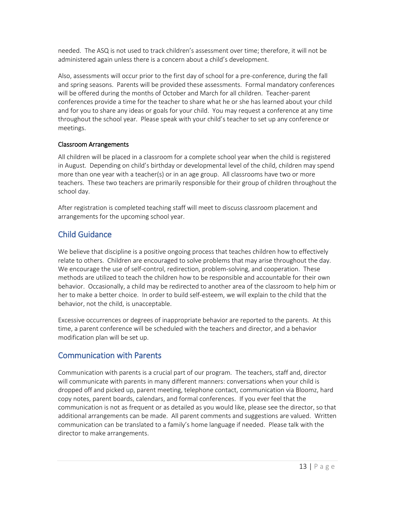needed. The ASQ is not used to track children's assessment over time; therefore, it will not be administered again unless there is a concern about a child's development.

Also, assessments will occur prior to the first day of school for a pre-conference, during the fall and spring seasons. Parents will be provided these assessments. Formal mandatory conferences will be offered during the months of October and March for all children. Teacher-parent conferences provide a time for the teacher to share what he or she has learned about your child and for you to share any ideas or goals for your child. You may request a conference at any time throughout the school year. Please speak with your child's teacher to set up any conference or meetings.

#### <span id="page-13-0"></span>Classroom Arrangements

All children will be placed in a classroom for a complete school year when the child is registered in August. Depending on child's birthday or developmental level of the child, children may spend more than one year with a teacher(s) or in an age group. All classrooms have two or more teachers. These two teachers are primarily responsible for their group of children throughout the school day.

After registration is completed teaching staff will meet to discuss classroom placement and arrangements for the upcoming school year.

## <span id="page-13-1"></span>Child Guidance

We believe that discipline is a positive ongoing process that teaches children how to effectively relate to others. Children are encouraged to solve problems that may arise throughout the day. We encourage the use of self-control, redirection, problem-solving, and cooperation. These methods are utilized to teach the children how to be responsible and accountable for their own behavior. Occasionally, a child may be redirected to another area of the classroom to help him or her to make a better choice. In order to build self-esteem, we will explain to the child that the behavior, not the child, is unacceptable.

Excessive occurrences or degrees of inappropriate behavior are reported to the parents. At this time, a parent conference will be scheduled with the teachers and director, and a behavior modification plan will be set up.

## <span id="page-13-2"></span>Communication with Parents

Communication with parents is a crucial part of our program. The teachers, staff and, director will communicate with parents in many different manners: conversations when your child is dropped off and picked up, parent meeting, telephone contact, communication via Bloomz, hard copy notes, parent boards, calendars, and formal conferences. If you ever feel that the communication is not as frequent or as detailed as you would like, please see the director, so that additional arrangements can be made. All parent comments and suggestions are valued. Written communication can be translated to a family's home language if needed. Please talk with the director to make arrangements.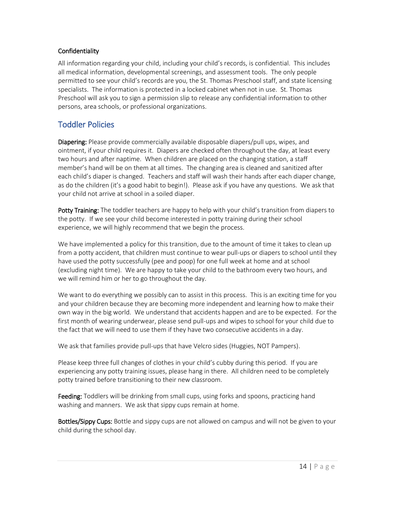#### <span id="page-14-0"></span>Confidentiality

All information regarding your child, including your child's records, is confidential. This includes all medical information, developmental screenings, and assessment tools. The only people permitted to see your child's records are you, the St. Thomas Preschool staff, and state licensing specialists. The information is protected in a locked cabinet when not in use. St. Thomas Preschool will ask you to sign a permission slip to release any confidential information to other persons, area schools, or professional organizations.

## <span id="page-14-1"></span>Toddler Policies

Diapering: Please provide commercially available disposable diapers/pull ups, wipes, and ointment, if your child requires it. Diapers are checked often throughout the day, at least every two hours and after naptime. When children are placed on the changing station, a staff member's hand will be on them at all times. The changing area is cleaned and sanitized after each child's diaper is changed. Teachers and staff will wash their hands after each diaper change, as do the children (it's a good habit to begin!). Please ask if you have any questions. We ask that your child not arrive at school in a soiled diaper.

Potty Training: The toddler teachers are happy to help with your child's transition from diapers to the potty. If we see your child become interested in potty training during their school experience, we will highly recommend that we begin the process.

We have implemented a policy for this transition, due to the amount of time it takes to clean up from a potty accident, that children must continue to wear pull-ups or diapers to school until they have used the potty successfully (pee and poop) for one full week at home and at school (excluding night time). We are happy to take your child to the bathroom every two hours, and we will remind him or her to go throughout the day.

We want to do everything we possibly can to assist in this process. This is an exciting time for you and your children because they are becoming more independent and learning how to make their own way in the big world. We understand that accidents happen and are to be expected. For the first month of wearing underwear, please send pull-ups and wipes to school for your child due to the fact that we will need to use them if they have two consecutive accidents in a day.

We ask that families provide pull-ups that have Velcro sides (Huggies, NOT Pampers).

Please keep three full changes of clothes in your child's cubby during this period. If you are experiencing any potty training issues, please hang in there. All children need to be completely potty trained before transitioning to their new classroom.

**Feeding:** Toddlers will be drinking from small cups, using forks and spoons, practicing hand washing and manners. We ask that sippy cups remain at home.

Bottles/Sippy Cups: Bottle and sippy cups are not allowed on campus and will not be given to your child during the school day.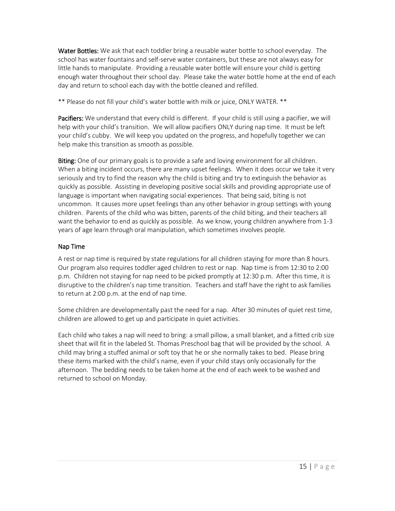Water Bottles: We ask that each toddler bring a reusable water bottle to school everyday. The school has water fountains and self-serve water containers, but these are not always easy for little hands to manipulate. Providing a reusable water bottle will ensure your child is getting enough water throughout their school day. Please take the water bottle home at the end of each day and return to school each day with the bottle cleaned and refilled.

\*\* Please do not fill your child's water bottle with milk or juice, ONLY WATER. \*\*

Pacifiers: We understand that every child is different. If your child is still using a pacifier, we will help with your child's transition. We will allow pacifiers ONLY during nap time. It must be left your child's cubby. We will keep you updated on the progress, and hopefully together we can help make this transition as smooth as possible.

Biting: One of our primary goals is to provide a safe and loving environment for all children. When a biting incident occurs, there are many upset feelings. When it does occur we take it very seriously and try to find the reason why the child is biting and try to extinguish the behavior as quickly as possible. Assisting in developing positive social skills and providing appropriate use of language is important when navigating social experiences. That being said, biting is not uncommon. It causes more upset feelings than any other behavior in group settings with young children. Parents of the child who was bitten, parents of the child biting, and their teachers all want the behavior to end as quickly as possible. As we know, young children anywhere from 1-3 years of age learn through oral manipulation, which sometimes involves people.

#### <span id="page-15-0"></span>Nap Time

A rest or nap time is required by state regulations for all children staying for more than 8 hours. Our program also requires toddler aged children to rest or nap. Nap time is from 12:30 to 2:00 p.m. Children not staying for nap need to be picked promptly at 12:30 p.m. After this time, it is disruptive to the children's nap time transition. Teachers and staff have the right to ask families to return at 2:00 p.m. at the end of nap time.

Some children are developmentally past the need for a nap. After 30 minutes of quiet rest time, children are allowed to get up and participate in quiet activities.

Each child who takes a nap will need to bring: a small pillow, a small blanket, and a fitted crib size sheet that will fit in the labeled St. Thomas Preschool bag that will be provided by the school. A child may bring a stuffed animal or soft toy that he or she normally takes to bed. Please bring these items marked with the child's name, even if your child stays only occasionally for the afternoon. The bedding needs to be taken home at the end of each week to be washed and returned to school on Monday.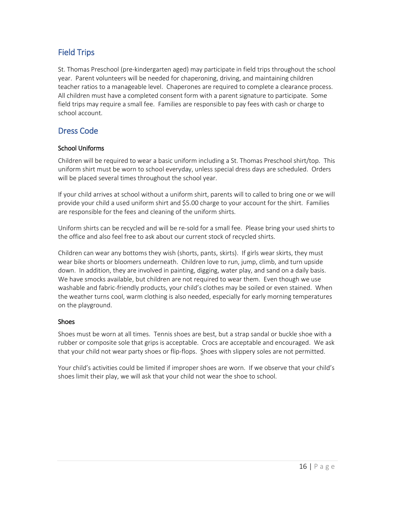## <span id="page-16-0"></span>Field Trips

St. Thomas Preschool (pre-kindergarten aged) may participate in field trips throughout the school year. Parent volunteers will be needed for chaperoning, driving, and maintaining children teacher ratios to a manageable level. Chaperones are required to complete a clearance process. All children must have a completed consent form with a parent signature to participate. Some field trips may require a small fee. Families are responsible to pay fees with cash or charge to school account.

## <span id="page-16-1"></span>Dress Code

#### <span id="page-16-2"></span>School Uniforms

Children will be required to wear a basic uniform including a St. Thomas Preschool shirt/top. This uniform shirt must be worn to school everyday, unless special dress days are scheduled. Orders will be placed several times throughout the school year.

If your child arrives at school without a uniform shirt, parents will to called to bring one or we will provide your child a used uniform shirt and \$5.00 charge to your account for the shirt. Families are responsible for the fees and cleaning of the uniform shirts.

Uniform shirts can be recycled and will be re-sold for a small fee. Please bring your used shirts to the office and also feel free to ask about our current stock of recycled shirts.

Children can wear any bottoms they wish (shorts, pants, skirts). If girls wear skirts, they must wear bike shorts or bloomers underneath. Children love to run, jump, climb, and turn upside down. In addition, they are involved in painting, digging, water play, and sand on a daily basis. We have smocks available, but children are not required to wear them. Even though we use washable and fabric-friendly products, your child's clothes may be soiled or even stained. When the weather turns cool, warm clothing is also needed, especially for early morning temperatures on the playground.

#### <span id="page-16-3"></span>Shoes

Shoes must be worn at all times. Tennis shoes are best, but a strap sandal or buckle shoe with a rubber or composite sole that grips is acceptable. Crocs are acceptable and encouraged. We ask that your child not wear party shoes or flip-flops. Shoes with slippery soles are not permitted.

Your child's activities could be limited if improper shoes are worn. If we observe that your child's shoes limit their play, we will ask that your child not wear the shoe to school.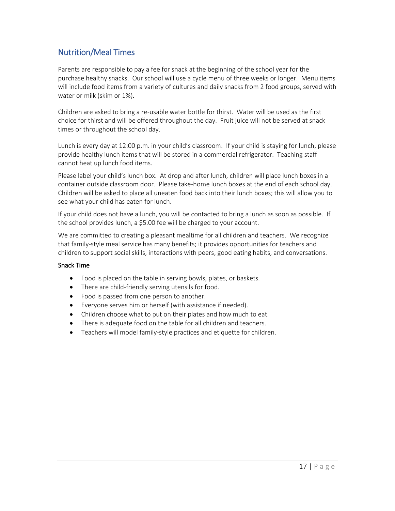## <span id="page-17-0"></span>Nutrition/Meal Times

Parents are responsible to pay a fee for snack at the beginning of the school year for the purchase healthy snacks. Our school will use a cycle menu of three weeks or longer. Menu items will include food items from a variety of cultures and daily snacks from 2 food groups, served with water or milk (skim or 1%).

Children are asked to bring a re-usable water bottle for thirst. Water will be used as the first choice for thirst and will be offered throughout the day. Fruit juice will not be served at snack times or throughout the school day.

Lunch is every day at 12:00 p.m. in your child's classroom. If your child is staying for lunch, please provide healthy lunch items that will be stored in a commercial refrigerator. Teaching staff cannot heat up lunch food items.

Please label your child's lunch box. At drop and after lunch, children will place lunch boxes in a container outside classroom door. Please take-home lunch boxes at the end of each school day. Children will be asked to place all uneaten food back into their lunch boxes; this will allow you to see what your child has eaten for lunch.

If your child does not have a lunch, you will be contacted to bring a lunch as soon as possible. If the school provides lunch, a \$5.00 fee will be charged to your account.

We are committed to creating a pleasant mealtime for all children and teachers. We recognize that family-style meal service has many benefits; it provides opportunities for teachers and children to support social skills, interactions with peers, good eating habits, and conversations.

#### <span id="page-17-1"></span>Snack Time

- Food is placed on the table in serving bowls, plates, or baskets.
- There are child-friendly serving utensils for food.
- Food is passed from one person to another.
- Everyone serves him or herself (with assistance if needed).
- Children choose what to put on their plates and how much to eat.
- There is adequate food on the table for all children and teachers.
- Teachers will model family-style practices and etiquette for children.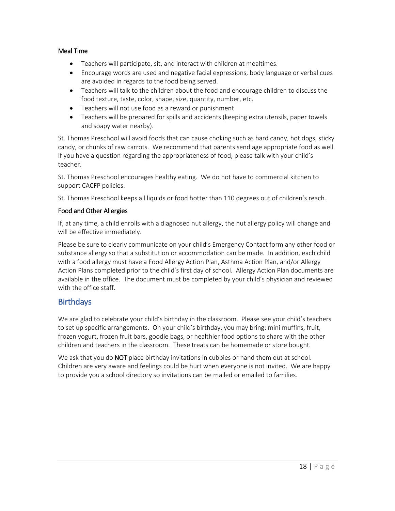#### <span id="page-18-0"></span>Meal Time

- Teachers will participate, sit, and interact with children at mealtimes.
- Encourage words are used and negative facial expressions, body language or verbal cues are avoided in regards to the food being served.
- Teachers will talk to the children about the food and encourage children to discuss the food texture, taste, color, shape, size, quantity, number, etc.
- Teachers will not use food as a reward or punishment
- Teachers will be prepared for spills and accidents (keeping extra utensils, paper towels and soapy water nearby).

St. Thomas Preschool will avoid foods that can cause choking such as hard candy, hot dogs, sticky candy, or chunks of raw carrots. We recommend that parents send age appropriate food as well. If you have a question regarding the appropriateness of food, please talk with your child's teacher.

St. Thomas Preschool encourages healthy eating. We do not have to commercial kitchen to support CACFP policies.

St. Thomas Preschool keeps all liquids or food hotter than 110 degrees out of children's reach.

#### <span id="page-18-1"></span>Food and Other Allergies

If, at any time, a child enrolls with a diagnosed nut allergy, the nut allergy policy will change and will be effective immediately.

Please be sure to clearly communicate on your child's Emergency Contact form any other food or substance allergy so that a substitution or accommodation can be made. In addition, each child with a food allergy must have a Food Allergy Action Plan, Asthma Action Plan, and/or Allergy Action Plans completed prior to the child's first day of school. Allergy Action Plan documents are available in the office. The document must be completed by your child's physician and reviewed with the office staff.

## <span id="page-18-2"></span>**Birthdays**

We are glad to celebrate your child's birthday in the classroom. Please see your child's teachers to set up specific arrangements. On your child's birthday, you may bring: mini muffins, fruit, frozen yogurt, frozen fruit bars, goodie bags, or healthier food options to share with the other children and teachers in the classroom. These treats can be homemade or store bought.

We ask that you do **NOT** place birthday invitations in cubbies or hand them out at school. Children are very aware and feelings could be hurt when everyone is not invited. We are happy to provide you a school directory so invitations can be mailed or emailed to families.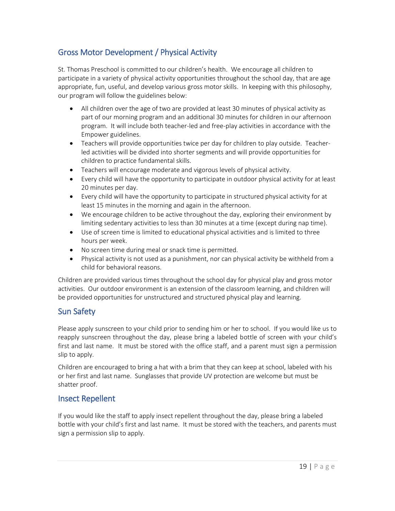## <span id="page-19-0"></span>Gross Motor Development / Physical Activity

St. Thomas Preschool is committed to our children's health. We encourage all children to participate in a variety of physical activity opportunities throughout the school day, that are age appropriate, fun, useful, and develop various gross motor skills. In keeping with this philosophy, our program will follow the guidelines below:

- All children over the age of two are provided at least 30 minutes of physical activity as part of our morning program and an additional 30 minutes for children in our afternoon program. It will include both teacher-led and free-play activities in accordance with the Empower guidelines.
- Teachers will provide opportunities twice per day for children to play outside. Teacherled activities will be divided into shorter segments and will provide opportunities for children to practice fundamental skills.
- Teachers will encourage moderate and vigorous levels of physical activity.
- Every child will have the opportunity to participate in outdoor physical activity for at least 20 minutes per day.
- Every child will have the opportunity to participate in structured physical activity for at least 15 minutes in the morning and again in the afternoon.
- We encourage children to be active throughout the day, exploring their environment by limiting sedentary activities to less than 30 minutes at a time (except during nap time).
- Use of screen time is limited to educational physical activities and is limited to three hours per week.
- No screen time during meal or snack time is permitted.
- Physical activity is not used as a punishment, nor can physical activity be withheld from a child for behavioral reasons.

Children are provided various times throughout the school day for physical play and gross motor activities. Our outdoor environment is an extension of the classroom learning, and children will be provided opportunities for unstructured and structured physical play and learning.

## <span id="page-19-1"></span>Sun Safety

Please apply sunscreen to your child prior to sending him or her to school. If you would like us to reapply sunscreen throughout the day, please bring a labeled bottle of screen with your child's first and last name. It must be stored with the office staff, and a parent must sign a permission slip to apply.

Children are encouraged to bring a hat with a brim that they can keep at school, labeled with his or her first and last name. Sunglasses that provide UV protection are welcome but must be shatter proof.

## <span id="page-19-2"></span>Insect Repellent

If you would like the staff to apply insect repellent throughout the day, please bring a labeled bottle with your child's first and last name. It must be stored with the teachers, and parents must sign a permission slip to apply.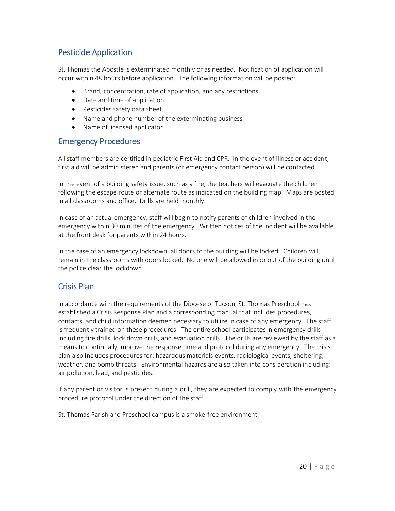## <span id="page-20-0"></span>Pesticide Application

St. Thomas the Apostle is exterminated monthly or as needed. Notification of application will occur within 48 hours before application. The following information will be posted:

- Brand, concentration, rate of application, and any restrictions
- Date and time of application
- Pesticides safety data sheet
- Name and phone number of the exterminating business
- Name of licensed applicator

#### <span id="page-20-1"></span>Emergency Procedures

All staff members are certified in pediatric First Aid and CPR. In the event of illness or accident, first aid will be administered and parents (or emergency contact person) will be contacted.

In the event of a building safety issue, such as a fire, the teachers will evacuate the children following the escape route or alternate route as indicated on the building map. Maps are posted in all classrooms and office. Drills are held monthly.

In case of an actual emergency, staff will begin to notify parents of children involved in the emergency within 30 minutes of the emergency. Written notices of the incident will be available at the front desk for parents within 24 hours.

In the case of an emergency lockdown, all doors to the building will be locked. Children will remain in the classrooms with doors locked. No one will be allowed in or out of the building until the police clear the lockdown.

## <span id="page-20-2"></span>Crisis Plan

In accordance with the requirements of the Diocese of Tucson, St. Thomas Preschool has established a Crisis Response Plan and a corresponding manual that includes procedures, contacts, and child information deemed necessary to utilize in case of any emergency. The staff is frequently trained on these procedures. The entire school participates in emergency drills including fire drills, lock down drills, and evacuation drills. The drills are reviewed by the staff as a means to continually improve the response time and protocol during any emergency. The crisis plan also includes procedures for: hazardous materials events, radiological events, sheltering, weather, and bomb threats. Environmental hazards are also taken into consideration including: air pollution, lead, and pesticides.

If any parent or visitor is present during a drill, they are expected to comply with the emergency procedure protocol under the direction of the staff.

St. Thomas Parish and Preschool campus is a smoke-free environment.